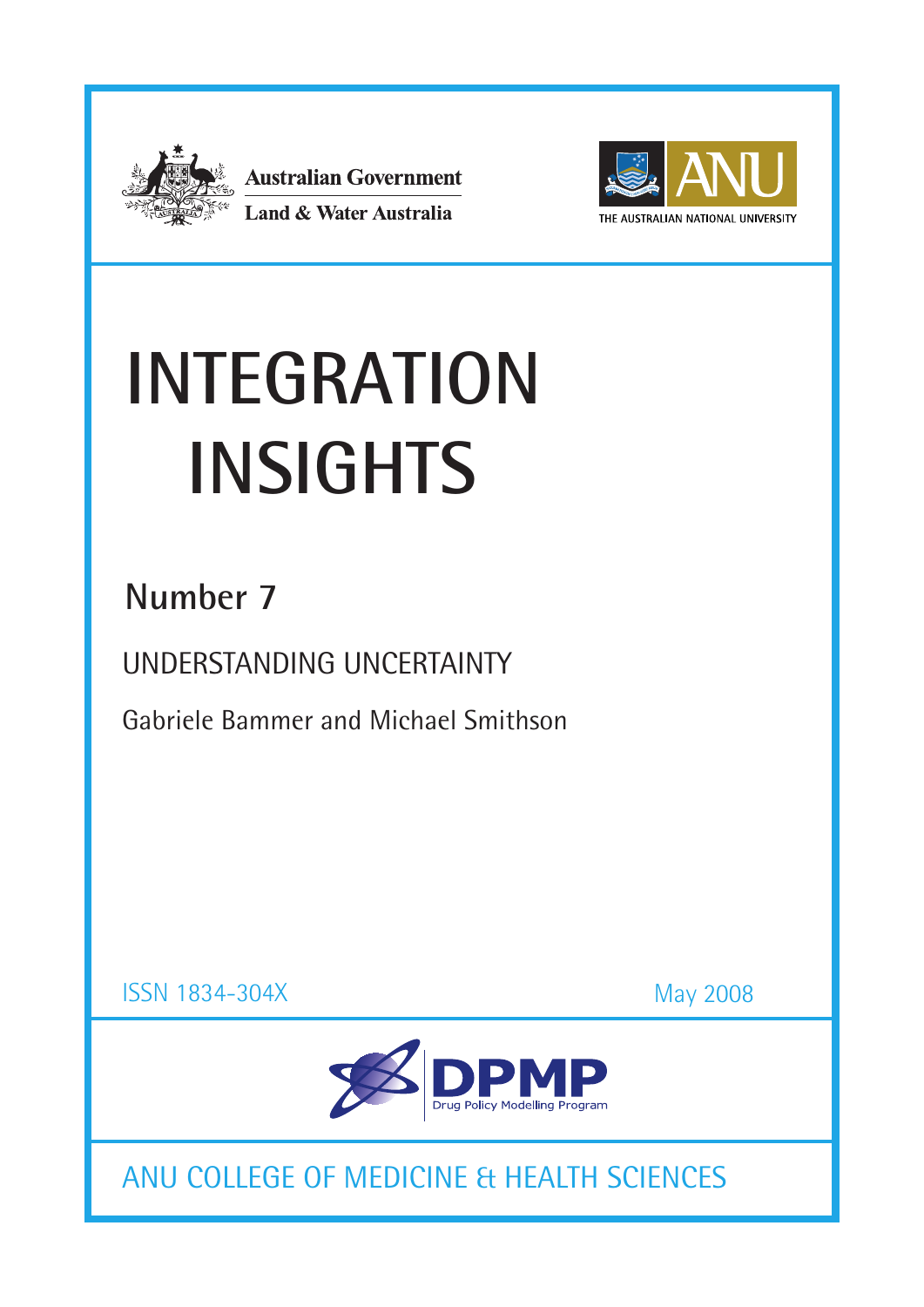

**Australian Government** Land & Water Australia



# **INTEGRATION Insights**

## **Number 7**

UNDERSTANDING UNCERTAINTY

Gabriele Bammer and Michael Smithson

ISSN 1834-304X

May 2008



ANU COLLEGE OF MEDICINE & HEALTH SCIENCES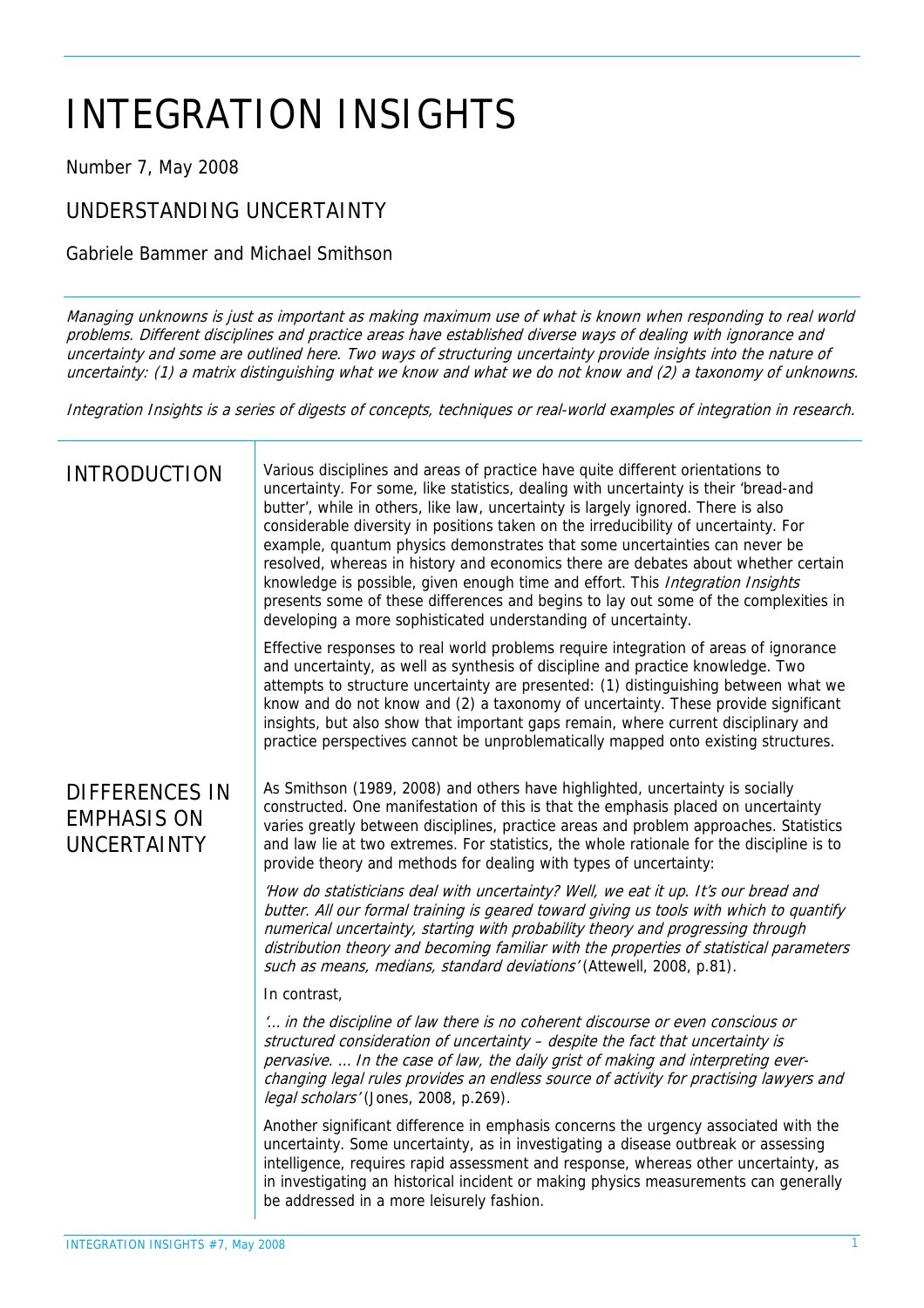# INTEGRATION INSIGHTS

Number 7, May 2008

## UNDERSTANDING UNCERTAINTY

Gabriele Bammer and Michael Smithson

Managing unknowns is just as important as making maximum use of what is known when responding to real world problems. Different disciplines and practice areas have established diverse ways of dealing with ignorance and uncertainty and some are outlined here. Two ways of structuring uncertainty provide insights into the nature of uncertainty: (1) a matrix distinguishing what we know and what we do not know and (2) a taxonomy of unknowns.

Integration Insights is a series of digests of concepts, techniques or real-world examples of integration in research.

| <b>INTRODUCTION</b>                                               | Various disciplines and areas of practice have quite different orientations to<br>uncertainty. For some, like statistics, dealing with uncertainty is their 'bread-and<br>butter', while in others, like law, uncertainty is largely ignored. There is also<br>considerable diversity in positions taken on the irreducibility of uncertainty. For<br>example, quantum physics demonstrates that some uncertainties can never be<br>resolved, whereas in history and economics there are debates about whether certain<br>knowledge is possible, given enough time and effort. This Integration Insights<br>presents some of these differences and begins to lay out some of the complexities in<br>developing a more sophisticated understanding of uncertainty. |
|-------------------------------------------------------------------|-------------------------------------------------------------------------------------------------------------------------------------------------------------------------------------------------------------------------------------------------------------------------------------------------------------------------------------------------------------------------------------------------------------------------------------------------------------------------------------------------------------------------------------------------------------------------------------------------------------------------------------------------------------------------------------------------------------------------------------------------------------------|
|                                                                   | Effective responses to real world problems require integration of areas of ignorance<br>and uncertainty, as well as synthesis of discipline and practice knowledge. Two<br>attempts to structure uncertainty are presented: (1) distinguishing between what we<br>know and do not know and (2) a taxonomy of uncertainty. These provide significant<br>insights, but also show that important gaps remain, where current disciplinary and<br>practice perspectives cannot be unproblematically mapped onto existing structures.                                                                                                                                                                                                                                   |
| <b>DIFFERENCES IN</b><br><b>EMPHASIS ON</b><br><b>UNCERTAINTY</b> | As Smithson (1989, 2008) and others have highlighted, uncertainty is socially<br>constructed. One manifestation of this is that the emphasis placed on uncertainty<br>varies greatly between disciplines, practice areas and problem approaches. Statistics<br>and law lie at two extremes. For statistics, the whole rationale for the discipline is to<br>provide theory and methods for dealing with types of uncertainty:                                                                                                                                                                                                                                                                                                                                     |
|                                                                   | 'How do statisticians deal with uncertainty? Well, we eat it up. It's our bread and<br>butter. All our formal training is geared toward giving us tools with which to quantify<br>numerical uncertainty, starting with probability theory and progressing through<br>distribution theory and becoming familiar with the properties of statistical parameters<br>such as means, medians, standard deviations' (Attewell, 2008, p.81).                                                                                                                                                                                                                                                                                                                              |
|                                                                   | In contrast,                                                                                                                                                                                                                                                                                                                                                                                                                                                                                                                                                                                                                                                                                                                                                      |
|                                                                   | " in the discipline of law there is no coherent discourse or even conscious or<br>structured consideration of uncertainty - despite the fact that uncertainty is<br>pervasive.  In the case of law, the daily grist of making and interpreting ever-<br>changing legal rules provides an endless source of activity for practising lawyers and<br>legal scholars' (Jones, 2008, p.269).                                                                                                                                                                                                                                                                                                                                                                           |
|                                                                   | Another significant difference in emphasis concerns the urgency associated with the<br>uncertainty. Some uncertainty, as in investigating a disease outbreak or assessing<br>intelligence, requires rapid assessment and response, whereas other uncertainty, as<br>in investigating an historical incident or making physics measurements can generally<br>be addressed in a more leisurely fashion.                                                                                                                                                                                                                                                                                                                                                             |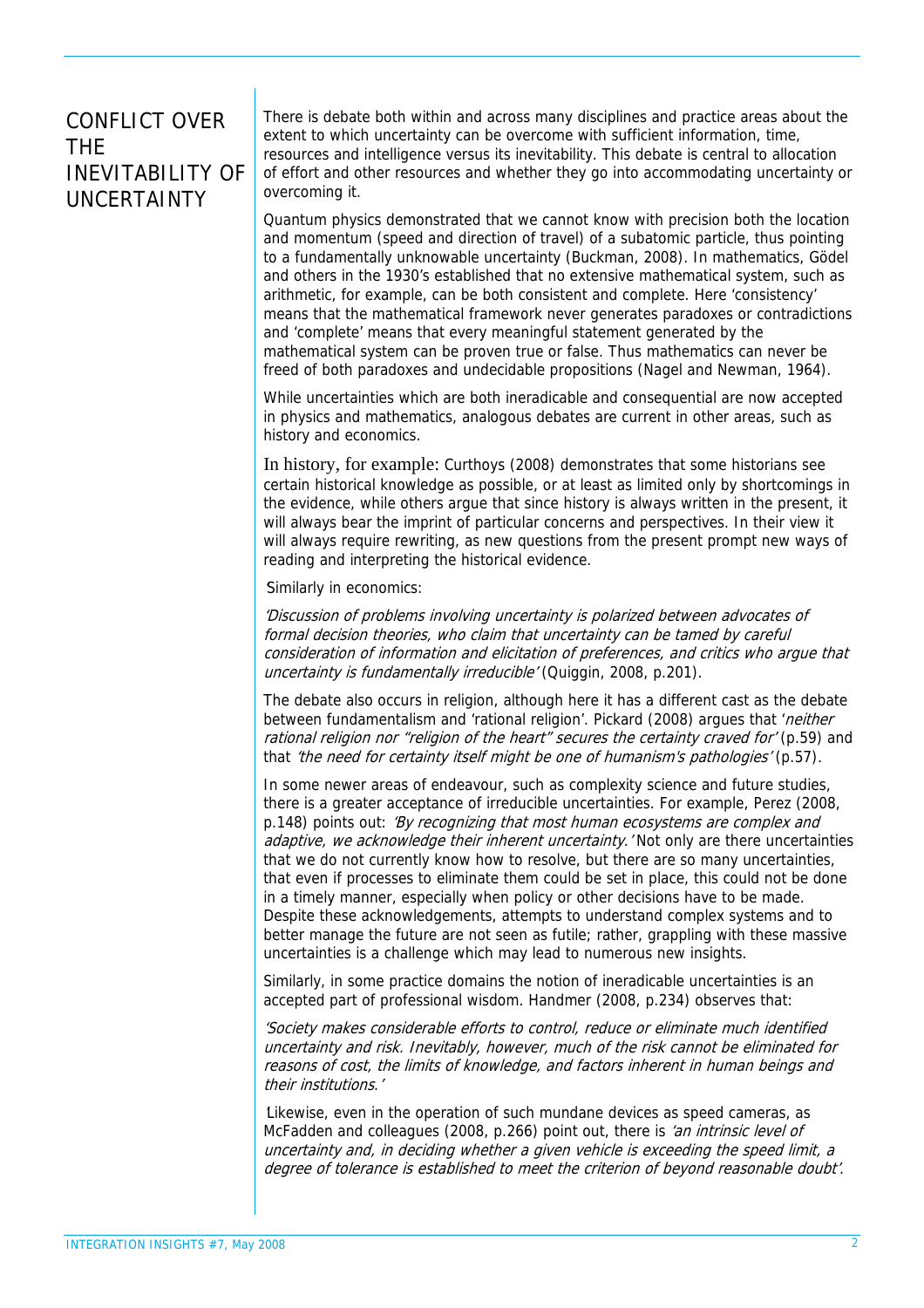## CONFLICT OVER THE INEVITABILITY OF UNCERTAINTY

There is debate both within and across many disciplines and practice areas about the extent to which uncertainty can be overcome with sufficient information, time, resources and intelligence versus its inevitability. This debate is central to allocation of effort and other resources and whether they go into accommodating uncertainty or overcoming it.

Quantum physics demonstrated that we cannot know with precision both the location and momentum (speed and direction of travel) of a subatomic particle, thus pointing to a fundamentally unknowable uncertainty (Buckman, 2008). In mathematics, Gödel and others in the 1930's established that no extensive mathematical system, such as arithmetic, for example, can be both consistent and complete. Here 'consistency' means that the mathematical framework never generates paradoxes or contradictions and 'complete' means that every meaningful statement generated by the mathematical system can be proven true or false. Thus mathematics can never be freed of both paradoxes and undecidable propositions (Nagel and Newman, 1964).

While uncertainties which are both ineradicable and consequential are now accepted in physics and mathematics, analogous debates are current in other areas, such as history and economics.

In history, for example: Curthoys (2008) demonstrates that some historians see certain historical knowledge as possible, or at least as limited only by shortcomings in the evidence, while others argue that since history is always written in the present, it will always bear the imprint of particular concerns and perspectives. In their view it will always require rewriting, as new questions from the present prompt new ways of reading and interpreting the historical evidence.

Similarly in economics:

'Discussion of problems involving uncertainty is polarized between advocates of formal decision theories, who claim that uncertainty can be tamed by careful consideration of information and elicitation of preferences, and critics who argue that uncertainty is fundamentally irreducible' (Quiggin, 2008, p.201).

The debate also occurs in religion, although here it has a different cast as the debate between fundamentalism and 'rational religion'. Pickard (2008) argues that '*neither* rational religion nor "religion of the heart" secures the certainty craved for' (p.59) and that 'the need for certainty itself might be one of humanism's pathologies' (p.57).

In some newer areas of endeavour, such as complexity science and future studies, there is a greater acceptance of irreducible uncertainties. For example, Perez (2008, p.148) points out: 'By recognizing that most human ecosystems are complex and adaptive, we acknowledge their inherent uncertainty. Not only are there uncertainties that we do not currently know how to resolve, but there are so many uncertainties, that even if processes to eliminate them could be set in place, this could not be done in a timely manner, especially when policy or other decisions have to be made. Despite these acknowledgements, attempts to understand complex systems and to better manage the future are not seen as futile; rather, grappling with these massive uncertainties is a challenge which may lead to numerous new insights.

Similarly, in some practice domains the notion of ineradicable uncertainties is an accepted part of professional wisdom. Handmer (2008, p.234) observes that:

'Society makes considerable efforts to control, reduce or eliminate much identified uncertainty and risk. Inevitably, however, much of the risk cannot be eliminated for reasons of cost, the limits of knowledge, and factors inherent in human beings and their institutions.'

Likewise, even in the operation of such mundane devices as speed cameras, as McFadden and colleagues (2008, p.266) point out, there is 'an intrinsic level of uncertainty and, in deciding whether a given vehicle is exceeding the speed limit, a degree of tolerance is established to meet the criterion of beyond reasonable doubt'.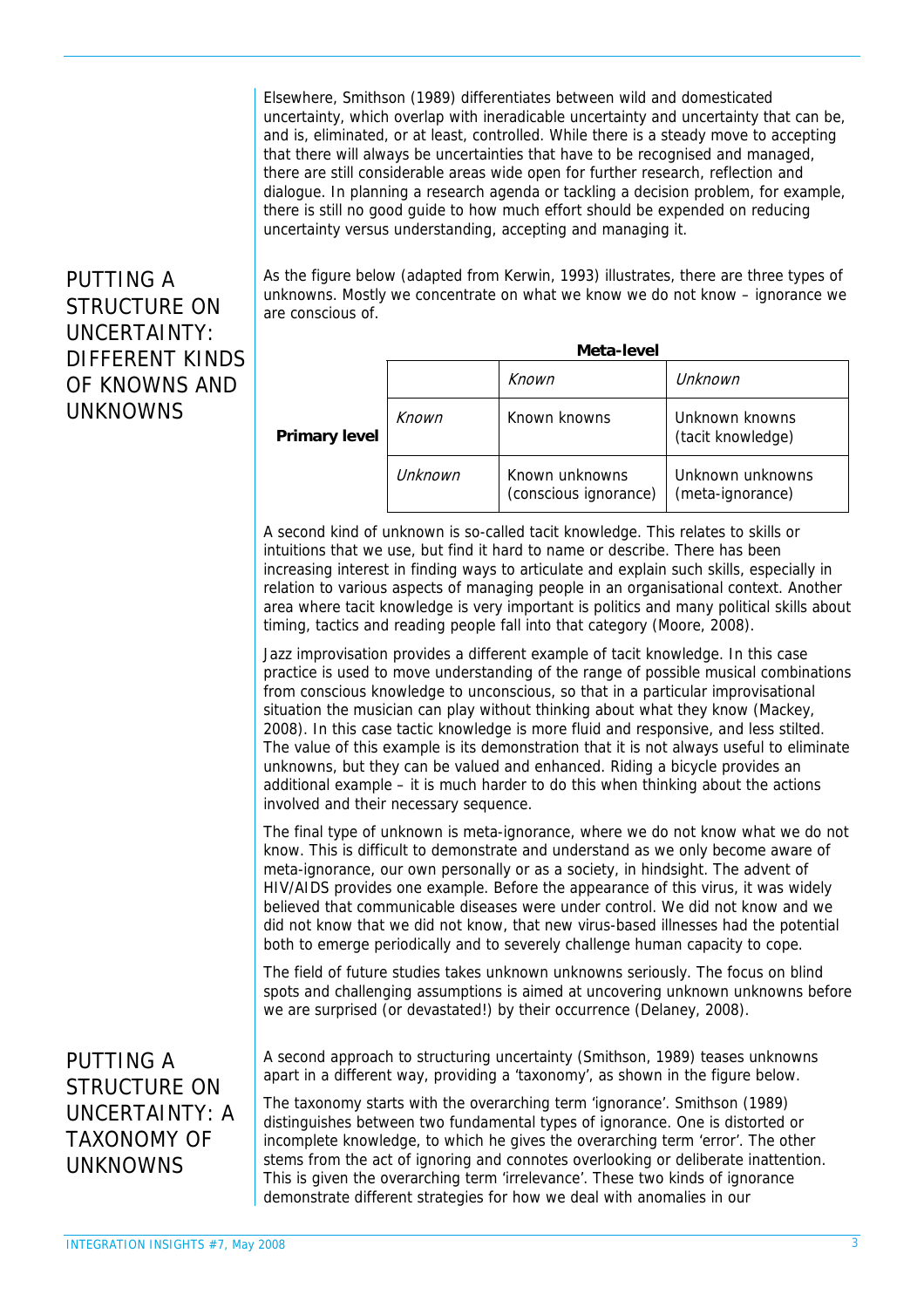Elsewhere, Smithson (1989) differentiates between wild and domesticated uncertainty, which overlap with ineradicable uncertainty and uncertainty that can be, and is, eliminated, or at least, controlled. While there is a steady move to accepting that there will always be uncertainties that have to be recognised and managed, there are still considerable areas wide open for further research, reflection and dialogue. In planning a research agenda or tackling a decision problem, for example, there is still no good guide to how much effort should be expended on reducing uncertainty versus understanding, accepting and managing it.

#### PUTTING A STRUCTURE ON UNCERTAINTY: DIFFERENT KINDS OF KNOWNS AND UNKNOWNS

As the figure below (adapted from Kerwin, 1993) illustrates, there are three types of unknowns. Mostly we concentrate on what we know we do not know – ignorance we are conscious of.

|               |         | Meta-level                              |                                      |
|---------------|---------|-----------------------------------------|--------------------------------------|
|               |         | Known                                   | Unknown                              |
| Primary level | Known   | Known knowns                            | Unknown knowns<br>(tacit knowledge)  |
|               | Unknown | Known unknowns<br>(conscious ignorance) | Unknown unknowns<br>(meta-ignorance) |

A second kind of unknown is so-called tacit knowledge. This relates to skills or intuitions that we use, but find it hard to name or describe. There has been increasing interest in finding ways to articulate and explain such skills, especially in relation to various aspects of managing people in an organisational context. Another area where tacit knowledge is very important is politics and many political skills about timing, tactics and reading people fall into that category (Moore, 2008).

Jazz improvisation provides a different example of tacit knowledge. In this case practice is used to move understanding of the range of possible musical combinations from conscious knowledge to unconscious, so that in a particular improvisational situation the musician can play without thinking about what they know (Mackey, 2008). In this case tactic knowledge is more fluid and responsive, and less stilted. The value of this example is its demonstration that it is not always useful to eliminate unknowns, but they can be valued and enhanced. Riding a bicycle provides an additional example – it is much harder to do this when thinking about the actions involved and their necessary sequence.

The final type of unknown is meta-ignorance, where we do not know what we do not know. This is difficult to demonstrate and understand as we only become aware of meta-ignorance, our own personally or as a society, in hindsight. The advent of HIV/AIDS provides one example. Before the appearance of this virus, it was widely believed that communicable diseases were under control. We did not know and we did not know that we did not know, that new virus-based illnesses had the potential both to emerge periodically and to severely challenge human capacity to cope.

The field of future studies takes unknown unknowns seriously. The focus on blind spots and challenging assumptions is aimed at uncovering unknown unknowns before we are surprised (or devastated!) by their occurrence (Delaney, 2008).

PUTTING A STRUCTURE ON UNCERTAINTY: A TAXONOMY OF UNKNOWNS

A second approach to structuring uncertainty (Smithson, 1989) teases unknowns apart in a different way, providing a 'taxonomy', as shown in the figure below.

The taxonomy starts with the overarching term 'ignorance'. Smithson (1989) distinguishes between two fundamental types of ignorance. One is distorted or incomplete knowledge, to which he gives the overarching term 'error'. The other stems from the act of ignoring and connotes overlooking or deliberate inattention. This is given the overarching term 'irrelevance'. These two kinds of ignorance demonstrate different strategies for how we deal with anomalies in our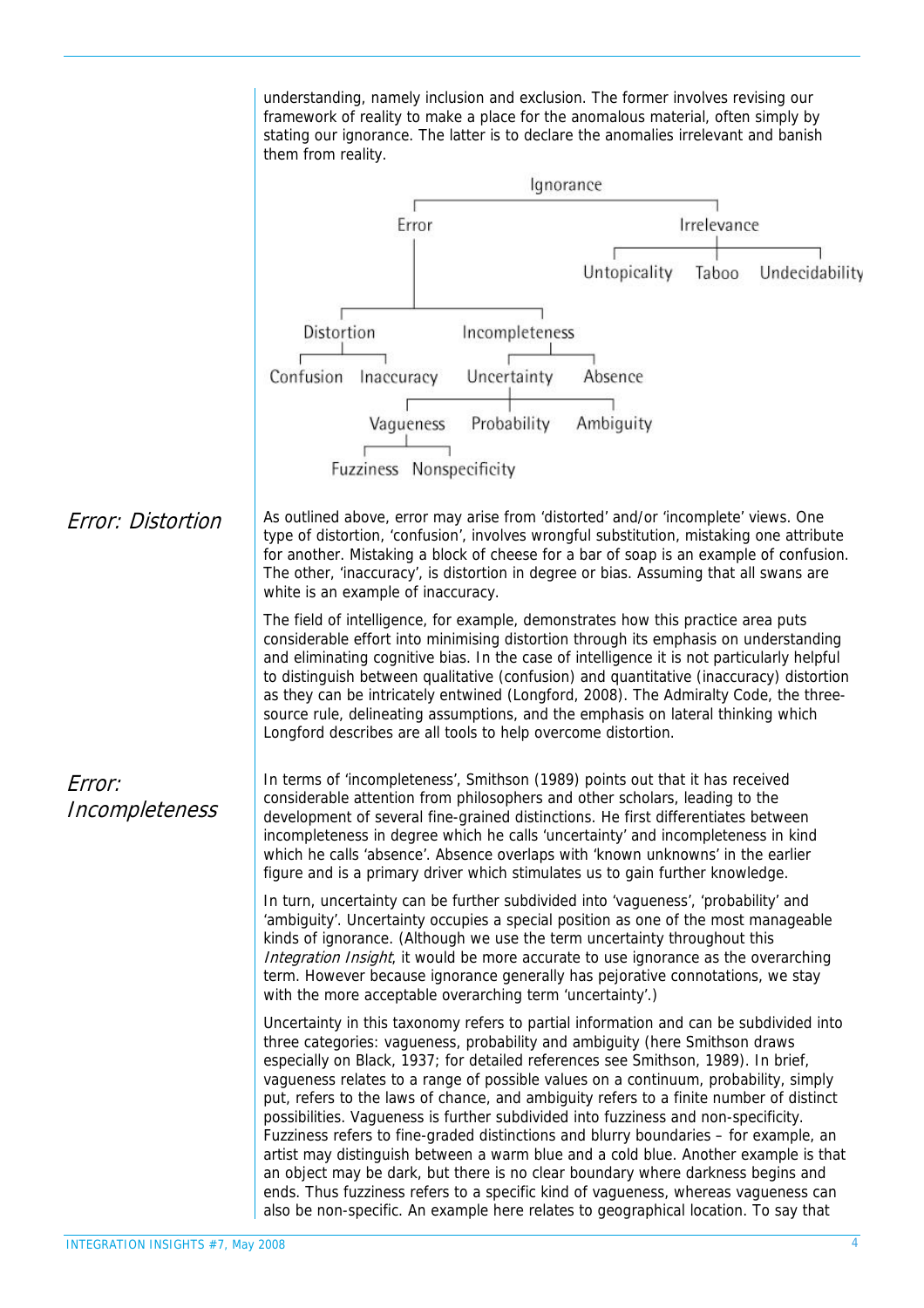understanding, namely inclusion and exclusion. The former involves revising our framework of reality to make a place for the anomalous material, often simply by stating our ignorance. The latter is to declare the anomalies irrelevant and banish them from reality.

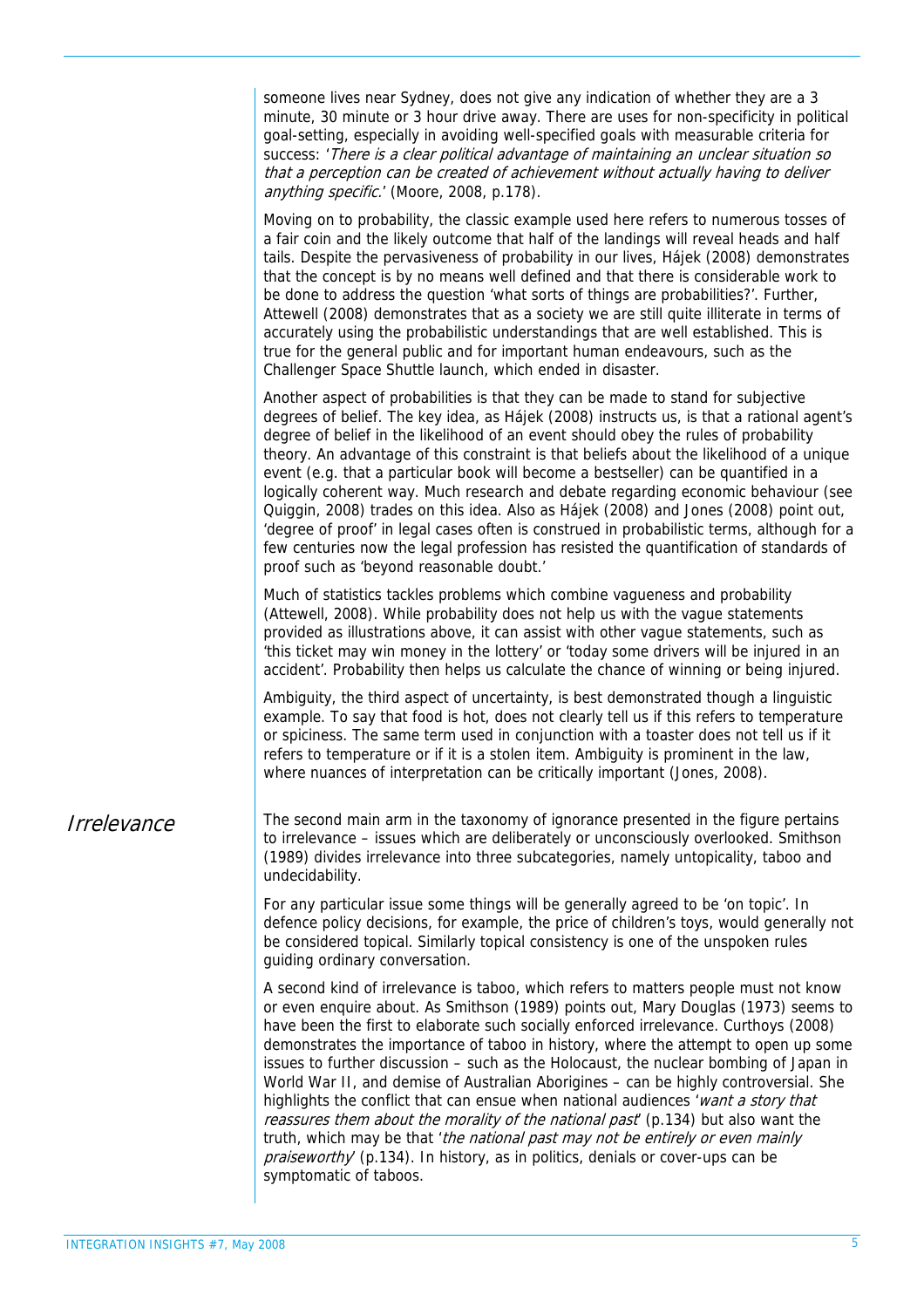|             | someone lives near Sydney, does not give any indication of whether they are a 3<br>minute, 30 minute or 3 hour drive away. There are uses for non-specificity in political<br>goal-setting, especially in avoiding well-specified goals with measurable criteria for<br>success: 'There is a clear political advantage of maintaining an unclear situation so<br>that a perception can be created of achievement without actually having to deliver<br>anything specific.' (Moore, 2008, p.178).                                                                                                                                                                                                                                                                                                                                                                                                               |
|-------------|----------------------------------------------------------------------------------------------------------------------------------------------------------------------------------------------------------------------------------------------------------------------------------------------------------------------------------------------------------------------------------------------------------------------------------------------------------------------------------------------------------------------------------------------------------------------------------------------------------------------------------------------------------------------------------------------------------------------------------------------------------------------------------------------------------------------------------------------------------------------------------------------------------------|
|             | Moving on to probability, the classic example used here refers to numerous tosses of<br>a fair coin and the likely outcome that half of the landings will reveal heads and half<br>tails. Despite the pervasiveness of probability in our lives, Hajek (2008) demonstrates<br>that the concept is by no means well defined and that there is considerable work to<br>be done to address the question 'what sorts of things are probabilities?'. Further,<br>Attewell (2008) demonstrates that as a society we are still quite illiterate in terms of<br>accurately using the probabilistic understandings that are well established. This is<br>true for the general public and for important human endeavours, such as the<br>Challenger Space Shuttle launch, which ended in disaster.                                                                                                                       |
|             | Another aspect of probabilities is that they can be made to stand for subjective<br>degrees of belief. The key idea, as Hajek (2008) instructs us, is that a rational agent's<br>degree of belief in the likelihood of an event should obey the rules of probability<br>theory. An advantage of this constraint is that beliefs about the likelihood of a unique<br>event (e.g. that a particular book will become a bestseller) can be quantified in a<br>logically coherent way. Much research and debate regarding economic behaviour (see<br>Quiggin, 2008) trades on this idea. Also as Hájek (2008) and Jones (2008) point out,<br>'degree of proof' in legal cases often is construed in probabilistic terms, although for a<br>few centuries now the legal profession has resisted the quantification of standards of<br>proof such as 'beyond reasonable doubt.'                                      |
|             | Much of statistics tackles problems which combine vagueness and probability<br>(Attewell, 2008). While probability does not help us with the vague statements<br>provided as illustrations above, it can assist with other vague statements, such as<br>'this ticket may win money in the lottery' or 'today some drivers will be injured in an<br>accident'. Probability then helps us calculate the chance of winning or being injured.                                                                                                                                                                                                                                                                                                                                                                                                                                                                      |
|             | Ambiguity, the third aspect of uncertainty, is best demonstrated though a linguistic<br>example. To say that food is hot, does not clearly tell us if this refers to temperature<br>or spiciness. The same term used in conjunction with a toaster does not tell us if it<br>refers to temperature or if it is a stolen item. Ambiguity is prominent in the law,<br>where nuances of interpretation can be critically important (Jones, 2008).                                                                                                                                                                                                                                                                                                                                                                                                                                                                 |
| Irrelevance | The second main arm in the taxonomy of ignorance presented in the figure pertains<br>to irrelevance - issues which are deliberately or unconsciously overlooked. Smithson<br>(1989) divides irrelevance into three subcategories, namely untopicality, taboo and<br>undecidability.                                                                                                                                                                                                                                                                                                                                                                                                                                                                                                                                                                                                                            |
|             | For any particular issue some things will be generally agreed to be 'on topic'. In<br>defence policy decisions, for example, the price of children's toys, would generally not<br>be considered topical. Similarly topical consistency is one of the unspoken rules<br>guiding ordinary conversation.                                                                                                                                                                                                                                                                                                                                                                                                                                                                                                                                                                                                          |
|             | A second kind of irrelevance is taboo, which refers to matters people must not know<br>or even enquire about. As Smithson (1989) points out, Mary Douglas (1973) seems to<br>have been the first to elaborate such socially enforced irrelevance. Curthoys (2008)<br>demonstrates the importance of taboo in history, where the attempt to open up some<br>issues to further discussion - such as the Holocaust, the nuclear bombing of Japan in<br>World War II, and demise of Australian Aborigines - can be highly controversial. She<br>highlights the conflict that can ensue when national audiences 'want a story that<br>reassures them about the morality of the national past (p.134) but also want the<br>truth, which may be that 'the national past may not be entirely or even mainly<br>praiseworthy (p.134). In history, as in politics, denials or cover-ups can be<br>symptomatic of taboos. |
|             |                                                                                                                                                                                                                                                                                                                                                                                                                                                                                                                                                                                                                                                                                                                                                                                                                                                                                                                |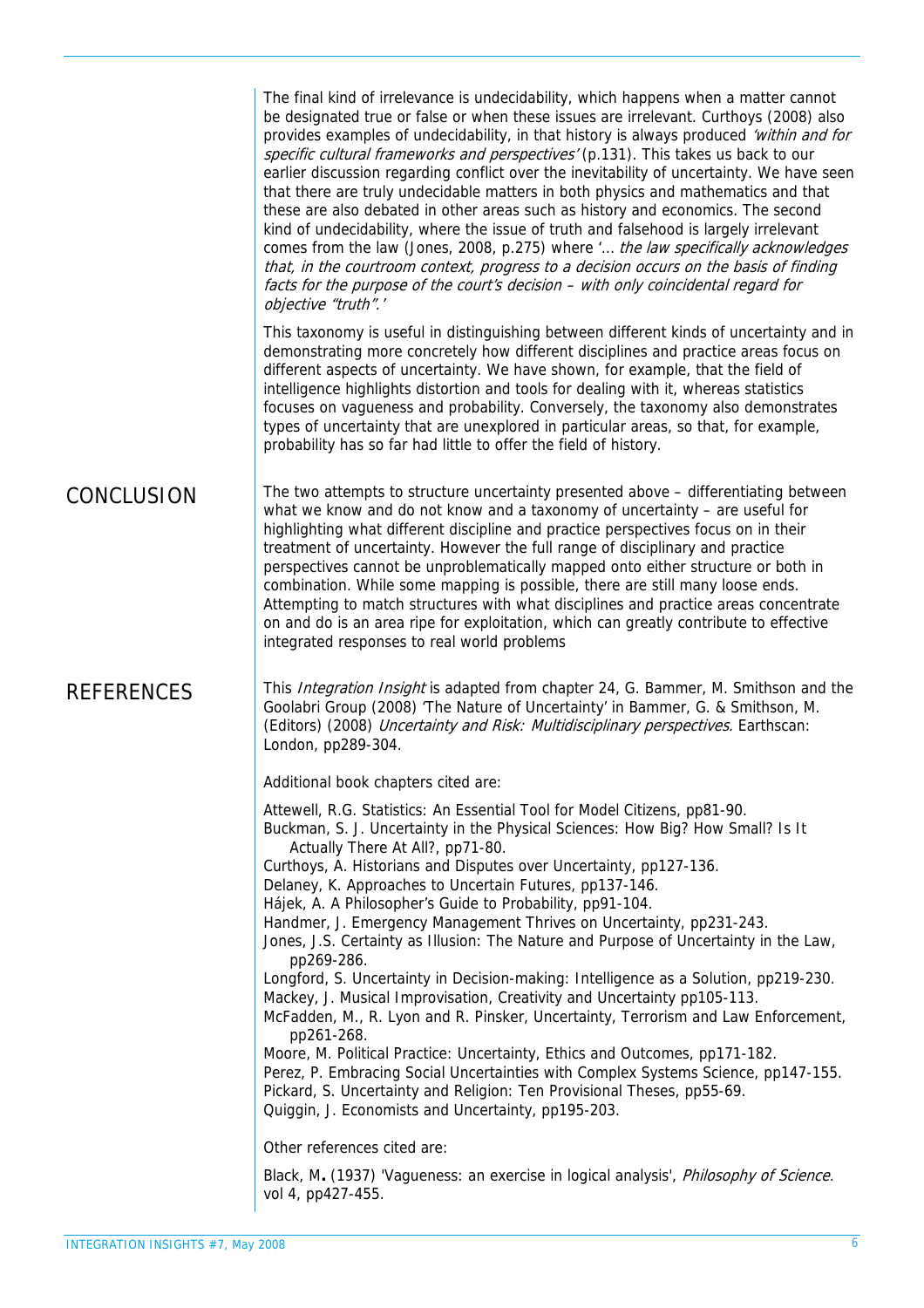The final kind of irrelevance is undecidability, which happens when a matter cannot be designated true or false or when these issues are irrelevant. Curthoys (2008) also provides examples of undecidability, in that history is always produced 'within and for specific cultural frameworks and perspectives' (p.131). This takes us back to our earlier discussion regarding conflict over the inevitability of uncertainty. We have seen that there are truly undecidable matters in both physics and mathematics and that these are also debated in other areas such as history and economics. The second kind of undecidability, where the issue of truth and falsehood is largely irrelevant comes from the law (Jones, 2008, p.275) where '... the law specifically acknowledges that, in the courtroom context, progress to a decision occurs on the basis of finding facts for the purpose of the court's decision – with only coincidental regard for objective "truth".'

This taxonomy is useful in distinguishing between different kinds of uncertainty and in demonstrating more concretely how different disciplines and practice areas focus on different aspects of uncertainty. We have shown, for example, that the field of intelligence highlights distortion and tools for dealing with it, whereas statistics focuses on vagueness and probability. Conversely, the taxonomy also demonstrates types of uncertainty that are unexplored in particular areas, so that, for example, probability has so far had little to offer the field of history.

CONCLUSION The two attempts to structure uncertainty presented above – differentiating between what we know and do not know and a taxonomy of uncertainty – are useful for highlighting what different discipline and practice perspectives focus on in their treatment of uncertainty. However the full range of disciplinary and practice perspectives cannot be unproblematically mapped onto either structure or both in combination. While some mapping is possible, there are still many loose ends. Attempting to match structures with what disciplines and practice areas concentrate on and do is an area ripe for exploitation, which can greatly contribute to effective integrated responses to real world problems

REFERENCES This *Integration Insight* is adapted from chapter 24, G. Bammer, M. Smithson and the Goolabri Group (2008) 'The Nature of Uncertainty' in Bammer, G. & Smithson, M. (Editors) (2008) Uncertainty and Risk: Multidisciplinary perspectives. Earthscan: London, pp289-304.

Additional book chapters cited are:

vol 4, pp427-455.

Attewell, R.G. Statistics: An Essential Tool for Model Citizens, pp81-90. Buckman, S. J. Uncertainty in the Physical Sciences: How Big? How Small? Is It Actually There At All?, pp71-80. Curthoys, A. Historians and Disputes over Uncertainty, pp127-136. Delaney, K. Approaches to Uncertain Futures, pp137-146. Hájek, A. A Philosopher's Guide to Probability, pp91-104. Handmer, J. Emergency Management Thrives on Uncertainty, pp231-243. Jones, J.S. Certainty as Illusion: The Nature and Purpose of Uncertainty in the Law, pp269-286. Longford, S. Uncertainty in Decision-making: Intelligence as a Solution, pp219-230. Mackey, J. Musical Improvisation, Creativity and Uncertainty pp105-113. McFadden, M., R. Lyon and R. Pinsker, Uncertainty, Terrorism and Law Enforcement, pp261-268. Moore, M. Political Practice: Uncertainty, Ethics and Outcomes, pp171-182. Perez, P. Embracing Social Uncertainties with Complex Systems Science, pp147-155. Pickard, S. Uncertainty and Religion: Ten Provisional Theses, pp55-69. Quiggin, J. Economists and Uncertainty, pp195-203. Other references cited are: Black, M. (1937) 'Vagueness: an exercise in logical analysis', *Philosophy of Science.*